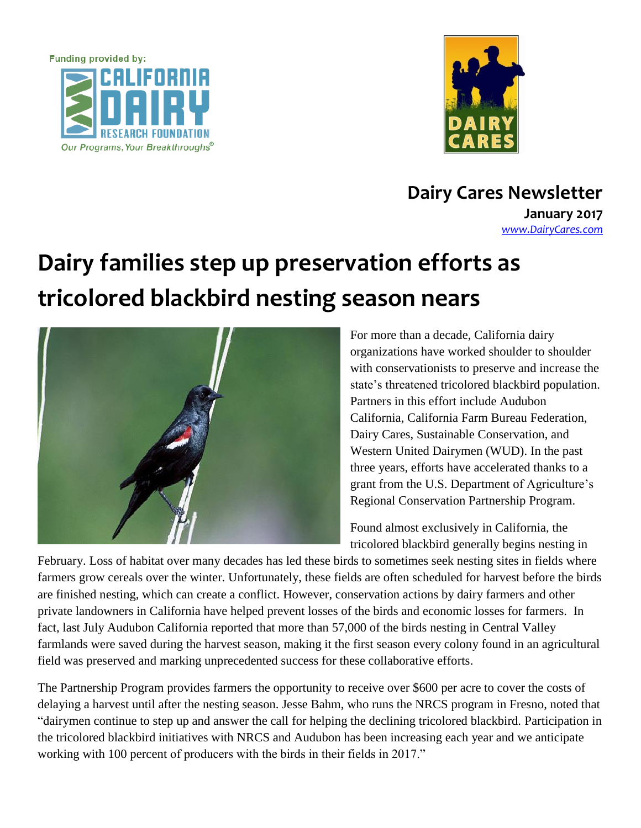



**Dairy Cares Newsletter January 2017** *[www.DairyCares.com](http://www.dairycares.com/)*

## **Dairy families step up preservation efforts as tricolored blackbird nesting season nears**



For more than a decade, California dairy organizations have worked shoulder to shoulder with conservationists to preserve and increase the state's threatened tricolored blackbird population. Partners in this effort include Audubon California, California Farm Bureau Federation, Dairy Cares, Sustainable Conservation, and Western United Dairymen (WUD). In the past three years, efforts have accelerated thanks to a grant from the U.S. Department of Agriculture's Regional Conservation Partnership Program.

Found almost exclusively in California, the tricolored blackbird generally begins nesting in

February. Loss of habitat over many decades has led these birds to sometimes seek nesting sites in fields where farmers grow cereals over the winter. Unfortunately, these fields are often scheduled for harvest before the birds are finished nesting, which can create a conflict. However, conservation actions by dairy farmers and other private landowners in California have helped prevent losses of the birds and economic losses for farmers. In fact, last July Audubon California reported that more than 57,000 of the birds nesting in Central Valley farmlands were saved during the harvest season, making it the first season every colony found in an agricultural field was preserved and marking unprecedented success for these collaborative efforts.

The Partnership Program provides farmers the opportunity to receive over \$600 per acre to cover the costs of delaying a harvest until after the nesting season. Jesse Bahm, who runs the NRCS program in Fresno, noted that "dairymen continue to step up and answer the call for helping the declining tricolored blackbird. Participation in the tricolored blackbird initiatives with NRCS and Audubon has been increasing each year and we anticipate working with 100 percent of producers with the birds in their fields in 2017."